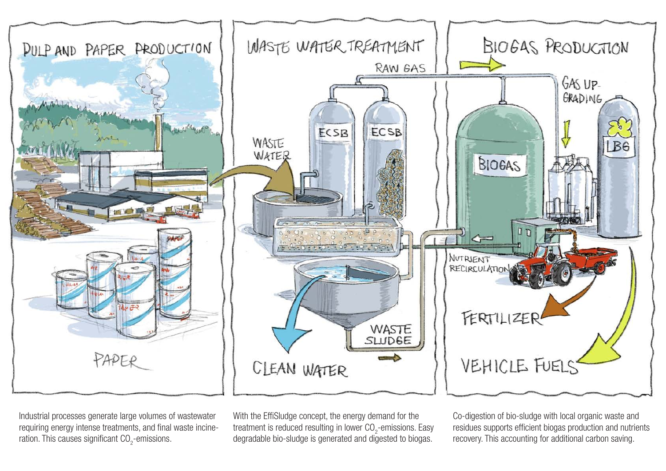

Industrial processes generate large volumes of wastewater requiring energy intense treatments, and final waste incineration. This causes significant  $\mathrm{CO}_2$ -emissions.

With the EffiSludge concept, the energy demand for the treatment is reduced resulting in lower CO<sub>2</sub>-emissions. Easy degradable bio-sludge is generated and digested to biogas.

Co-digestion of bio-sludge with local organic waste and residues supports efficient biogas production and nutrients recovery. This accounting for additional carbon saving.